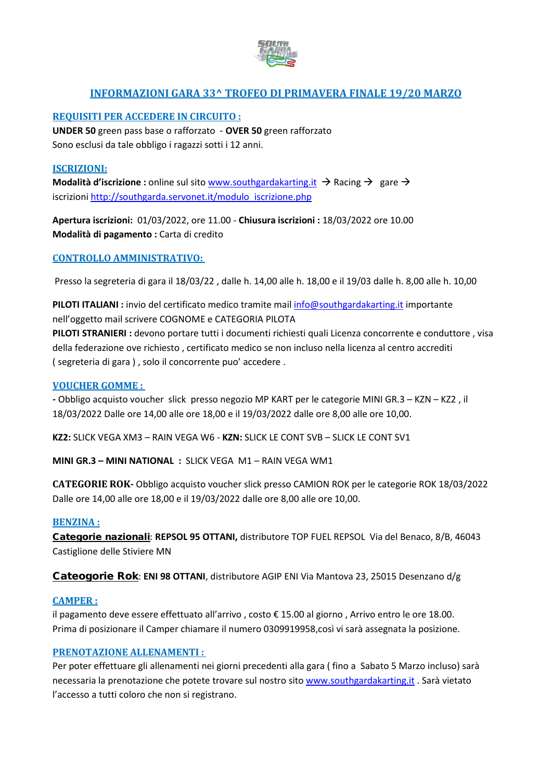

# **INFORMAZIONI GARA 33^ TROFEO DI PRIMAVERA FINALE 19/20 MARZO**

# **REQUISITI PER ACCEDERE IN CIRCUITO :**

**UNDER 50** green pass base o rafforzato - **OVER 50** green rafforzato Sono esclusi da tale obbligo i ragazzi sotti i 12 anni.

# **ISCRIZIONI:**

**Modalità d'iscrizione :** online sul sito [www.southgardakarting.it](http://www.southgardakarting.it/)  $\rightarrow$  Racing  $\rightarrow$  gare  $\rightarrow$ iscrizioni [http://southgarda.servonet.it/modulo\\_iscrizione.php](http://southgarda.servonet.it/modulo_iscrizione.php)

**Apertura iscrizioni:** 01/03/2022, ore 11.00 - **Chiusura iscrizioni :** 18/03/2022 ore 10.00 **Modalità di pagamento :** Carta di credito

# **CONTROLLO AMMINISTRATIVO:**

Presso la segreteria di gara il 18/03/22 , dalle h. 14,00 alle h. 18,00 e il 19/03 dalle h. 8,00 alle h. 10,00

**PILOTI ITALIANI :** invio del certificato medico tramite mail [info@southgardakarting.it](mailto:info@southgardakarting.it) importante nell'oggetto mail scrivere COGNOME e CATEGORIA PILOTA

**PILOTI STRANIERI :** devono portare tutti i documenti richiesti quali Licenza concorrente e conduttore , visa della federazione ove richiesto , certificato medico se non incluso nella licenza al centro accrediti ( segreteria di gara ) , solo il concorrente puo' accedere .

# **VOUCHER GOMME :**

**-** Obbligo acquisto voucher slick presso negozio MP KART per le categorie MINI GR.3 – KZN – KZ2 , il 18/03/2022 Dalle ore 14,00 alle ore 18,00 e il 19/03/2022 dalle ore 8,00 alle ore 10,00.

**KZ2:** SLICK VEGA XM3 – RAIN VEGA W6 - **KZN:** SLICK LE CONT SVB – SLICK LE CONT SV1

**MINI GR.3 – MINI NATIONAL :** SLICK VEGA M1 – RAIN VEGA WM1

**CATEGORIE ROK-** Obbligo acquisto voucher slick presso CAMION ROK per le categorie ROK 18/03/2022 Dalle ore 14,00 alle ore 18,00 e il 19/03/2022 dalle ore 8,00 alle ore 10,00.

# **BENZINA :**

Categorie nazionali: **REPSOL 95 OTTANI,** distributore TOP FUEL REPSOL Via del Benaco, 8/B, 46043 Castiglione delle Stiviere MN

Cateogorie Rok: **ENI 98 OTTANI**, distributore AGIP ENI Via Mantova 23, 25015 Desenzano d/g

# **CAMPER :**

il pagamento deve essere effettuato all'arrivo , costo € 15.00 al giorno , Arrivo entro le ore 18.00. Prima di posizionare il Camper chiamare il numero 0309919958,così vi sarà assegnata la posizione.

# **PRENOTAZIONE ALLENAMENTI :**

Per poter effettuare gli allenamenti nei giorni precedenti alla gara ( fino a Sabato 5 Marzo incluso) sarà necessaria la prenotazione che potete trovare sul nostro sito [www.southgardakarting.it](http://www.southgardakarting.it/) . Sarà vietato l'accesso a tutti coloro che non si registrano.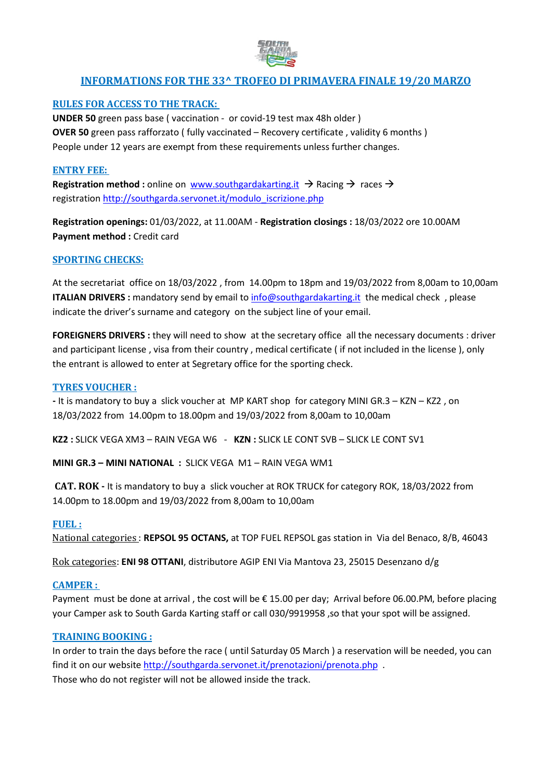

# **INFORMATIONS FOR THE 33^ TROFEO DI PRIMAVERA FINALE 19/20 MARZO**

# **RULES FOR ACCESS TO THE TRACK:**

**UNDER 50** green pass base ( vaccination - or covid-19 test max 48h older ) **OVER 50** green pass rafforzato ( fully vaccinated – Recovery certificate , validity 6 months ) People under 12 years are exempt from these requirements unless further changes.

#### **ENTRY FEE:**

**Registration method**: online on [www.southgardakarting.it](http://www.southgardakarting.it/)  $\rightarrow$  Racing  $\rightarrow$  races  $\rightarrow$ registration [http://southgarda.servonet.it/modulo\\_iscrizione.php](http://southgarda.servonet.it/modulo_iscrizione.php)

**Registration openings:** 01/03/2022, at 11.00AM - **Registration closings :** 18/03/2022 ore 10.00AM **Payment method :** Credit card

#### **SPORTING CHECKS:**

At the secretariat office on 18/03/2022 , from 14.00pm to 18pm and 19/03/2022 from 8,00am to 10,00am **ITALIAN DRIVERS :** mandatory send by email to [info@southgardakarting.it](mailto:info@southgardakarting.it) the medical check, please indicate the driver's surname and category on the subject line of your email.

**FOREIGNERS DRIVERS :** they will need to show at the secretary office all the necessary documents : driver and participant license , visa from their country , medical certificate ( if not included in the license ), only the entrant is allowed to enter at Segretary office for the sporting check.

#### **TYRES VOUCHER :**

**-** It is mandatory to buy a slick voucher at MP KART shop for category MINI GR.3 – KZN – KZ2 , on 18/03/2022 from 14.00pm to 18.00pm and 19/03/2022 from 8,00am to 10,00am

**KZ2 :** SLICK VEGA XM3 – RAIN VEGA W6 - **KZN :** SLICK LE CONT SVB – SLICK LE CONT SV1

**MINI GR.3 – MINI NATIONAL :** SLICK VEGA M1 – RAIN VEGA WM1

**CAT. ROK -** It is mandatory to buy a slick voucher at ROK TRUCK for category ROK, 18/03/2022 from 14.00pm to 18.00pm and 19/03/2022 from 8,00am to 10,00am

#### **FUEL :**

National categories : **REPSOL 95 OCTANS,** at TOP FUEL REPSOL gas station in Via del Benaco, 8/B, 46043

Rok categories: **ENI 98 OTTANI**, distributore AGIP ENI Via Mantova 23, 25015 Desenzano d/g

#### **CAMPER :**

Payment must be done at arrival, the cost will be  $\epsilon$  15.00 per day; Arrival before 06.00.PM, before placing your Camper ask to South Garda Karting staff or call 030/9919958, so that your spot will be assigned.

#### **TRAINING BOOKING :**

In order to train the days before the race ( until Saturday 05 March ) a reservation will be needed, you can find it on our website<http://southgarda.servonet.it/prenotazioni/prenota.php> . Those who do not register will not be allowed inside the track.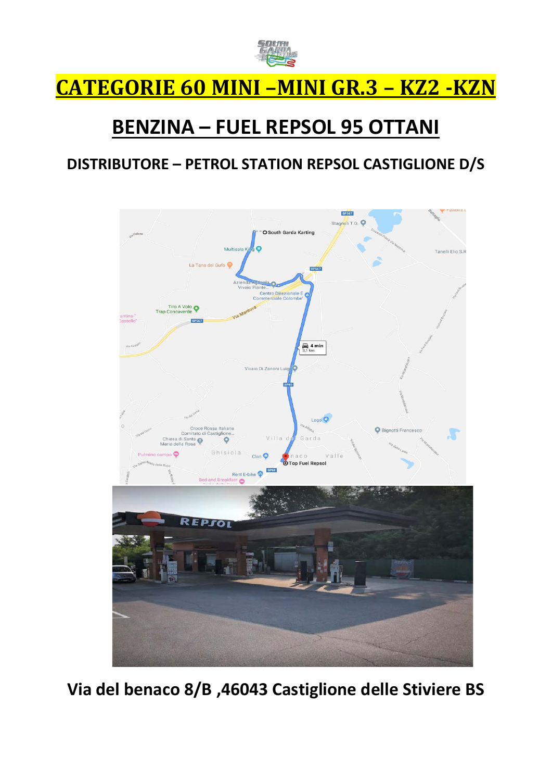

# **CATEGORIE 60 MINI –MINI GR.3 – KZ2 -KZN**

# **BENZINA – FUEL REPSOL 95 OTTANI**

# **DISTRIBUTORE – PETROL STATION REPSOL CASTIGLIONE D/S**



**Via del benaco 8/B ,46043 Castiglione delle Stiviere BS**